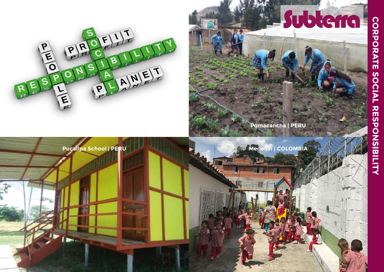

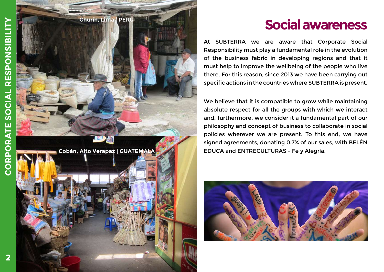

At SUBTERRA we are aware that Corporate Social Responsibility must play a fundamental role in the evolution of the business fabric in developing regions and that it must help to improve the wellbeing of the people who live there. For this reason, since 2013 we have been carrying out specific actions in the countries where SUBTERRA is present.

We believe that it is compatible to grow while maintaining absolute respect for all the groups with which we interact and, furthermore, we consider it a fundamental part of our philosophy and concept of business to collaborate in social policies wherever we are present. To this end, we have signed agreements, donating 0.7% of our sales, with BELÉN

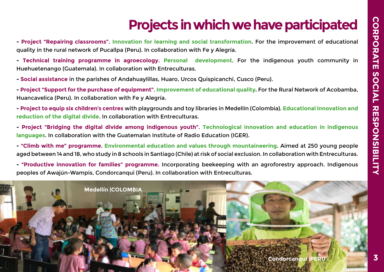# Projects in which we have participated

- Project "Repairing classrooms". Innovation for learning and social transformation. For the improvement of educational quality in the rural network of Pucallpa (Peru). In collaboration with Fe y Alegría.

- Technical training programme in agroecology. Personal development. For the indigenous youth community in Huehuetenango (Guatemala). In collaboration with Entreculturas.

- Social assistance in the parishes of Andahuaylillas, Huaro, Urcos Quispicanchi, Cusco (Peru).

- Project "Support for the purchase of equipment". Improvement of educational quality. For the Rural Network of Acobamba, Huancavelica (Peru). In collaboration with Fe y Alegría.

- Project to equip six children's centres with playgrounds and toy libraries in Medellín (Colombia). Educational innovation and reduction of the digital divide. In collaboration with Entreculturas.

- Project "Bridging the digital divide among indigenous youth". Technological innovation and education in indigenous languages. In collaboration with the Guatemalan Institute of Radio Education (IGER).

- "Climb with me" programme. Environmental education and values through mountaineering. Aimed at 250 young people aged between 14 and 18, who study in 8 schools in Santiago (Chile) at risk of social exclusion. In collaboration with Entreculturas.

- "Productive innovation for families" programme. Incorporating beekeeping with an agroforestry approach. Indigenous peoples of Awajún-Wampis, Condorcanqui (Peru). In collaboration with Entreculturas.

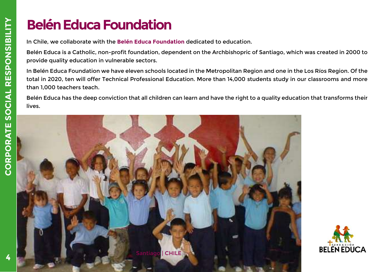# Belén Educa Foundation

In Chile, we collaborate with the Belén Educa Foundation dedicated to education.

Belén Educa is a Catholic, non-profit foundation, dependent on the Archbishopric of Santiago, which was created in 2000 to provide quality education in vulnerable sectors.

In Belén Educa Foundation we have eleven schools located in the Metropolitan Region and one in the Los Ríos Region. Of the total in 2020, ten will offer Technical Professional Education. More than 14,000 students study in our classrooms and more than 1,000 teachers teach.

Belén Educa has the deep conviction that all children can learn and have the right to a quality education that transforms their lives.



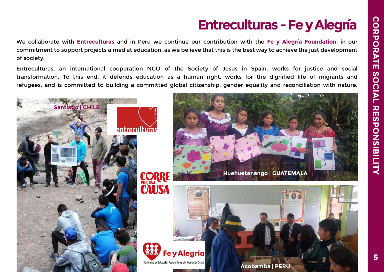# Entreculturas - Fe y Alegría

We collaborate with Entreculturas and in Peru we continue our contribution with the Fe y Alegría Foundation, in our commitment to support projects aimed at education, as we believe that this is the best way to achieve the just development of society.

Entreculturas, an international cooperation NGO of the Society of Jesus in Spain, works for justice and social transformation. To this end, it defends education as a human right, works for the dignified life of migrants and refugees, and is committed to building a committed global citizenship, gender equality and reconciliation with nature.